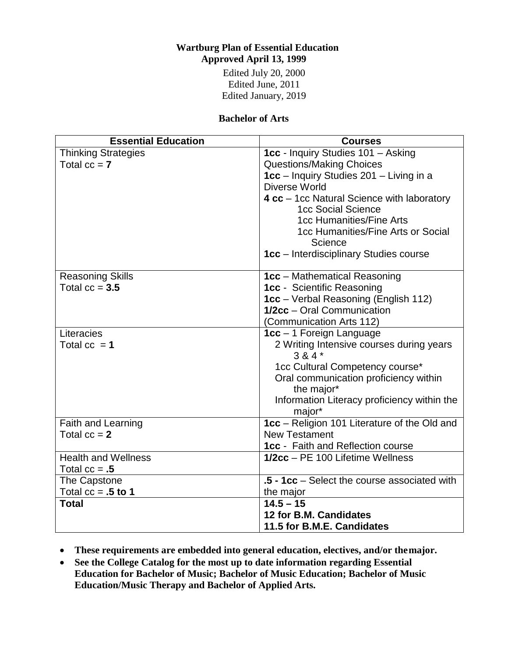# **Wartburg Plan of Essential Education Approved April 13, 1999**

Edited July 20, 2000 Edited June, 2011 Edited January, 2019

#### **Bachelor of Arts**

| <b>Essential Education</b> | <b>Courses</b>                                      |
|----------------------------|-----------------------------------------------------|
| <b>Thinking Strategies</b> | 1cc - Inquiry Studies 101 - Asking                  |
| Total $cc = 7$             | <b>Questions/Making Choices</b>                     |
|                            | 1cc - Inquiry Studies 201 - Living in a             |
|                            | Diverse World                                       |
|                            | 4 cc - 1cc Natural Science with laboratory          |
|                            | 1cc Social Science                                  |
|                            | 1cc Humanities/Fine Arts                            |
|                            | 1cc Humanities/Fine Arts or Social                  |
|                            | Science                                             |
|                            | 1cc - Interdisciplinary Studies course              |
| <b>Reasoning Skills</b>    | <b>1cc</b> – Mathematical Reasoning                 |
| Total $cc = 3.5$           | 1cc - Scientific Reasoning                          |
|                            | <b>1cc</b> – Verbal Reasoning (English 112)         |
|                            | 1/2cc - Oral Communication                          |
|                            | (Communication Arts 112)                            |
| Literacies                 | $1cc - 1$ Foreign Language                          |
| Total $cc = 1$             | 2 Writing Intensive courses during years<br>$384*$  |
|                            | 1cc Cultural Competency course*                     |
|                            | Oral communication proficiency within<br>the major* |
|                            | Information Literacy proficiency within the         |
|                            | major*                                              |
| Faith and Learning         | 1cc - Religion 101 Literature of the Old and        |
| Total $cc = 2$             | <b>New Testament</b>                                |
|                            | <b>1cc</b> - Faith and Reflection course            |
| <b>Health and Wellness</b> | 1/2cc - PE 100 Lifetime Wellness                    |
| Total $cc = .5$            |                                                     |
| The Capstone               | .5 - 1cc - Select the course associated with        |
| Total $cc = .5$ to 1       | the major                                           |
| <b>Total</b>               | $14.5 - 15$                                         |
|                            | 12 for B.M. Candidates                              |
|                            | 11.5 for B.M.E. Candidates                          |

- **These requirements are embedded into general education, electives, and/or themajor.**
- **See the College Catalog for the most up to date information regarding Essential Education for Bachelor of Music; Bachelor of Music Education; Bachelor of Music Education/Music Therapy and Bachelor of Applied Arts.**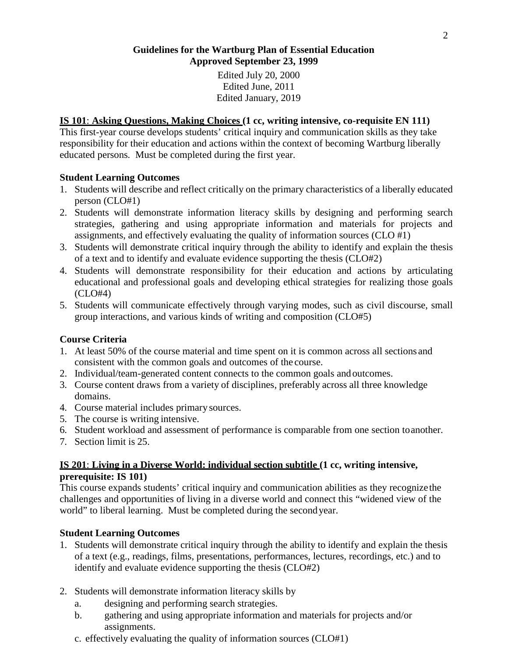#### **Guidelines for the Wartburg Plan of Essential Education Approved September 23, 1999**

Edited July 20, 2000 Edited June, 2011 Edited January, 2019

### **IS 101**: **Asking Questions, Making Choices (1 cc, writing intensive, co-requisite EN 111)**

This first-year course develops students' critical inquiry and communication skills as they take responsibility for their education and actions within the context of becoming Wartburg liberally educated persons*.* Must be completed during the first year.

### **Student Learning Outcomes**

- 1. Students will describe and reflect critically on the primary characteristics of a liberally educated person (CLO#1)
- 2. Students will demonstrate information literacy skills by designing and performing search strategies, gathering and using appropriate information and materials for projects and assignments, and effectively evaluating the quality of information sources (CLO #1)
- 3. Students will demonstrate critical inquiry through the ability to identify and explain the thesis of a text and to identify and evaluate evidence supporting the thesis (CLO#2)
- 4. Students will demonstrate responsibility for their education and actions by articulating educational and professional goals and developing ethical strategies for realizing those goals (CLO#4)
- 5. Students will communicate effectively through varying modes, such as civil discourse, small group interactions, and various kinds of writing and composition (CLO#5)

### **Course Criteria**

- 1. At least 50% of the course material and time spent on it is common across all sections and consistent with the common goals and outcomes of the course.
- 2. Individual/team-generated content connects to the common goals andoutcomes.
- 3. Course content draws from a variety of disciplines, preferably across all three knowledge domains.
- 4. Course material includes primary sources.
- 5. The course is writing intensive.
- 6. Student workload and assessment of performance is comparable from one section toanother.
- 7. Section limit is 25.

### **IS 201**: **Living in a Diverse World: individual section subtitle (1 cc, writing intensive, prerequisite: IS 101)**

This course expands students' critical inquiry and communication abilities as they recognizethe challenges and opportunities of living in a diverse world and connect this "widened view of the world" to liberal learning. Must be completed during the secondyear.

### **Student Learning Outcomes**

- 1. Students will demonstrate critical inquiry through the ability to identify and explain the thesis of a text (e.g., readings, films, presentations, performances, lectures, recordings, etc.) and to identify and evaluate evidence supporting the thesis (CLO#2)
- 2. Students will demonstrate information literacy skills by
	- a. designing and performing search strategies.
	- b. gathering and using appropriate information and materials for projects and/or assignments.
	- c. effectively evaluating the quality of information sources (CLO#1)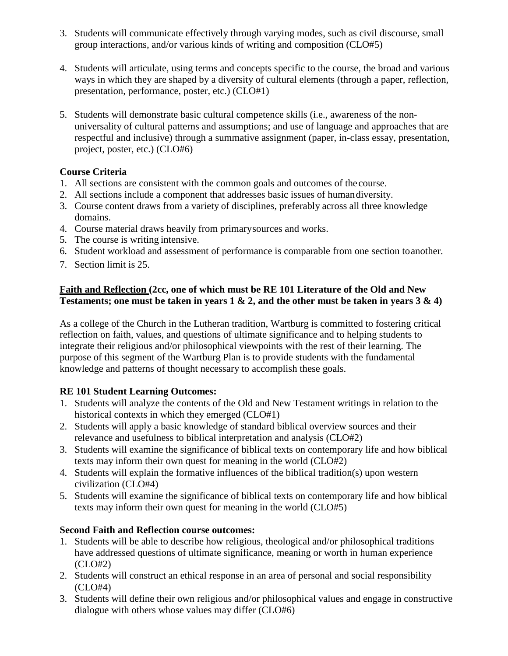- 3. Students will communicate effectively through varying modes, such as civil discourse, small group interactions, and/or various kinds of writing and composition (CLO#5)
- 4. Students will articulate, using terms and concepts specific to the course, the broad and various ways in which they are shaped by a diversity of cultural elements (through a paper, reflection, presentation, performance, poster, etc.) (CLO#1)
- 5. Students will demonstrate basic cultural competence skills (i.e., awareness of the nonuniversality of cultural patterns and assumptions; and use of language and approaches that are respectful and inclusive) through a summative assignment (paper, in-class essay, presentation, project, poster, etc.) (CLO#6)

### **Course Criteria**

- 1. All sections are consistent with the common goals and outcomes of the course.
- 2. All sections include a component that addresses basic issues of humandiversity.
- 3. Course content draws from a variety of disciplines, preferably across all three knowledge domains.
- 4. Course material draws heavily from primarysources and works.
- 5. The course is writing intensive.
- 6. Student workload and assessment of performance is comparable from one section toanother.
- 7. Section limit is 25.

### **Faith and Reflection (2cc, one of which must be RE 101 Literature of the Old and New Testaments; one must be taken in years 1 & 2, and the other must be taken in years 3 & 4)**

As a college of the Church in the Lutheran tradition, Wartburg is committed to fostering critical reflection on faith, values, and questions of ultimate significance and to helping students to integrate their religious and/or philosophical viewpoints with the rest of their learning. The purpose of this segment of the Wartburg Plan is to provide students with the fundamental knowledge and patterns of thought necessary to accomplish these goals.

# **RE 101 Student Learning Outcomes:**

- 1. Students will analyze the contents of the Old and New Testament writings in relation to the historical contexts in which they emerged (CLO#1)
- 2. Students will apply a basic knowledge of standard biblical overview sources and their relevance and usefulness to biblical interpretation and analysis (CLO#2)
- 3. Students will examine the significance of biblical texts on contemporary life and how biblical texts may inform their own quest for meaning in the world (CLO#2)
- 4. Students will explain the formative influences of the biblical tradition(s) upon western civilization (CLO#4)
- 5. Students will examine the significance of biblical texts on contemporary life and how biblical texts may inform their own quest for meaning in the world (CLO#5)

# **Second Faith and Reflection course outcomes:**

- 1. Students will be able to describe how religious, theological and/or philosophical traditions have addressed questions of ultimate significance, meaning or worth in human experience (CLO#2)
- 2. Students will construct an ethical response in an area of personal and social responsibility (CLO#4)
- 3. Students will define their own religious and/or philosophical values and engage in constructive dialogue with others whose values may differ (CLO#6)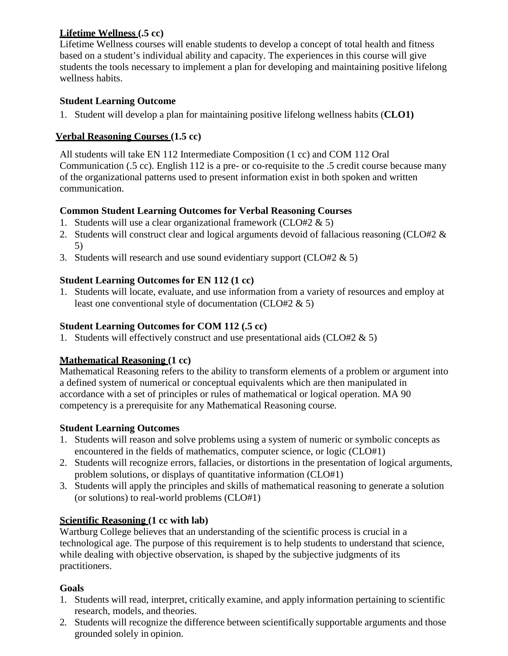### **Lifetime Wellness (.5 cc)**

Lifetime Wellness courses will enable students to develop a concept of total health and fitness based on a student's individual ability and capacity. The experiences in this course will give students the tools necessary to implement a plan for developing and maintaining positive lifelong wellness habits.

### **Student Learning Outcome**

1. Student will develop a plan for maintaining positive lifelong wellness habits (**CLO1)**

# **Verbal Reasoning Courses (1.5 cc)**

All students will take EN 112 Intermediate Composition (1 cc) and COM 112 Oral Communication (.5 cc). English 112 is a pre- or co-requisite to the .5 credit course because many of the organizational patterns used to present information exist in both spoken and written communication.

# **Common Student Learning Outcomes for Verbal Reasoning Courses**

- 1. Students will use a clear organizational framework (CLO#2 & 5)
- 2. Students will construct clear and logical arguments devoid of fallacious reasoning (CLO#2 & 5)
- 3. Students will research and use sound evidentiary support (CLO#2  $\&$  5)

# **Student Learning Outcomes for EN 112 (1 cc)**

1. Students will locate, evaluate, and use information from a variety of resources and employ at least one conventional style of documentation (CLO#2 & 5)

# **Student Learning Outcomes for COM 112 (.5 cc)**

1. Students will effectively construct and use presentational aids (CLO#2 & 5)

# **Mathematical Reasoning (1 cc)**

Mathematical Reasoning refers to the ability to transform elements of a problem or argument into a defined system of numerical or conceptual equivalents which are then manipulated in accordance with a set of principles or rules of mathematical or logical operation. MA 90 competency is a prerequisite for any Mathematical Reasoning course.

### **Student Learning Outcomes**

- 1. Students will reason and solve problems using a system of numeric or symbolic concepts as encountered in the fields of mathematics, computer science, or logic (CLO#1)
- 2. Students will recognize errors, fallacies, or distortions in the presentation of logical arguments, problem solutions, or displays of quantitative information (CLO#1)
- 3. Students will apply the principles and skills of mathematical reasoning to generate a solution (or solutions) to real-world problems (CLO#1)

# **Scientific Reasoning (1 cc with lab)**

Wartburg College believes that an understanding of the scientific process is crucial in a technological age. The purpose of this requirement is to help students to understand that science, while dealing with objective observation, is shaped by the subjective judgments of its practitioners.

# **Goals**

- 1. Students will read, interpret, critically examine, and apply information pertaining to scientific research, models, and theories.
- 2. Students will recognize the difference between scientifically supportable arguments and those grounded solely in opinion.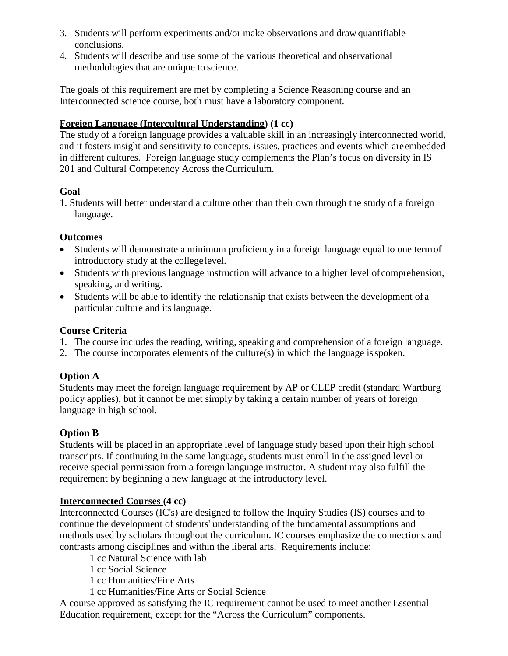- 3. Students will perform experiments and/or make observations and draw quantifiable conclusions.
- 4. Students will describe and use some of the various theoretical and observational methodologies that are unique to science.

The goals of this requirement are met by completing a Science Reasoning course and an Interconnected science course, both must have a laboratory component.

### **Foreign Language (Intercultural Understanding) (1 cc)**

The study of a foreign language provides a valuable skill in an increasingly interconnected world, and it fosters insight and sensitivity to concepts, issues, practices and events which areembedded in different cultures. Foreign language study complements the Plan's focus on diversity in IS 201 and Cultural Competency Across the Curriculum.

### **Goal**

1. Students will better understand a culture other than their own through the study of a foreign language.

### **Outcomes**

- Students will demonstrate a minimum proficiency in a foreign language equal to one termof introductory study at the college level.
- Students with previous language instruction will advance to a higher level of comprehension, speaking, and writing.
- Students will be able to identify the relationship that exists between the development of a particular culture and itslanguage.

### **Course Criteria**

- 1. The course includes the reading, writing, speaking and comprehension of a foreign language.
- 2. The course incorporates elements of the culture(s) in which the language isspoken.

# **Option A**

Students may meet the foreign language requirement by AP or CLEP credit (standard Wartburg policy applies), but it cannot be met simply by taking a certain number of years of foreign language in high school.

# **Option B**

Students will be placed in an appropriate level of language study based upon their high school transcripts. If continuing in the same language, students must enroll in the assigned level or receive special permission from a foreign language instructor. A student may also fulfill the requirement by beginning a new language at the introductory level.

# **Interconnected Courses (4 cc)**

Interconnected Courses (IC's) are designed to follow the Inquiry Studies (IS) courses and to continue the development of students' understanding of the fundamental assumptions and methods used by scholars throughout the curriculum. IC courses emphasize the connections and contrasts among disciplines and within the liberal arts. Requirements include:

- 1 cc Natural Science with lab
- 1 cc Social Science
- 1 cc Humanities/Fine Arts
- 1 cc Humanities/Fine Arts or Social Science

A course approved as satisfying the IC requirement cannot be used to meet another Essential Education requirement, except for the "Across the Curriculum" components.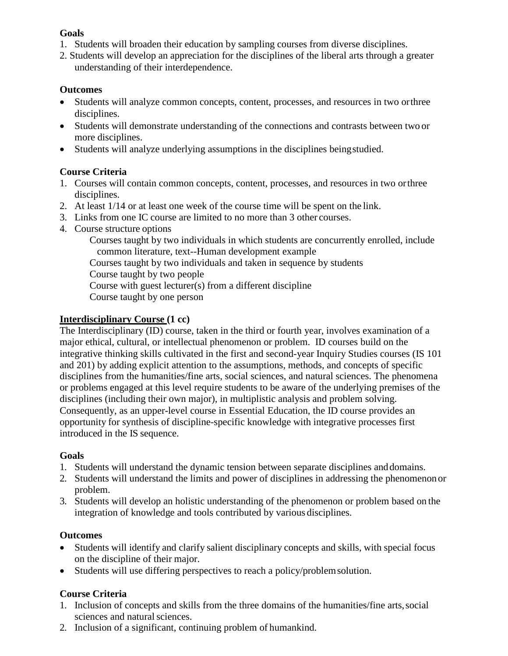#### **Goals**

- 1. Students will broaden their education by sampling courses from diverse disciplines.
- 2. Students will develop an appreciation for the disciplines of the liberal arts through a greater understanding of their interdependence.

### **Outcomes**

- Students will analyze common concepts, content, processes, and resources in two orthree disciplines.
- Students will demonstrate understanding of the connections and contrasts between two or more disciplines.
- Students will analyze underlying assumptions in the disciplines beingstudied.

### **Course Criteria**

- 1. Courses will contain common concepts, content, processes, and resources in two orthree disciplines.
- 2. At least 1/14 or at least one week of the course time will be spent on the link.
- 3. Links from one IC course are limited to no more than 3 other courses.
- 4. Course structure options

Courses taught by two individuals in which students are concurrently enrolled, include common literature, text--Human development example

Courses taught by two individuals and taken in sequence by students

Course taught by two people

Course with guest lecturer(s) from a different discipline

Course taught by one person

### **Interdisciplinary Course (1 cc)**

The Interdisciplinary (ID) course, taken in the third or fourth year, involves examination of a major ethical, cultural, or intellectual phenomenon or problem. ID courses build on the integrative thinking skills cultivated in the first and second-year Inquiry Studies courses (IS 101 and 201) by adding explicit attention to the assumptions, methods, and concepts of specific disciplines from the humanities/fine arts, social sciences, and natural sciences. The phenomena or problems engaged at this level require students to be aware of the underlying premises of the disciplines (including their own major), in multiplistic analysis and problem solving. Consequently, as an upper-level course in Essential Education, the ID course provides an opportunity for synthesis of discipline-specific knowledge with integrative processes first introduced in the IS sequence.

### **Goals**

- 1. Students will understand the dynamic tension between separate disciplines anddomains.
- 2. Students will understand the limits and power of disciplines in addressing the phenomenon or problem.
- 3. Students will develop an holistic understanding of the phenomenon or problem based on the integration of knowledge and tools contributed by various disciplines.

### **Outcomes**

- Students will identify and clarify salient disciplinary concepts and skills, with special focus on the discipline of their major.
- Students will use differing perspectives to reach a policy/problemsolution.

### **Course Criteria**

- 1. Inclusion of concepts and skills from the three domains of the humanities/fine arts,social sciences and natural sciences.
- 2. Inclusion of a significant, continuing problem of humankind.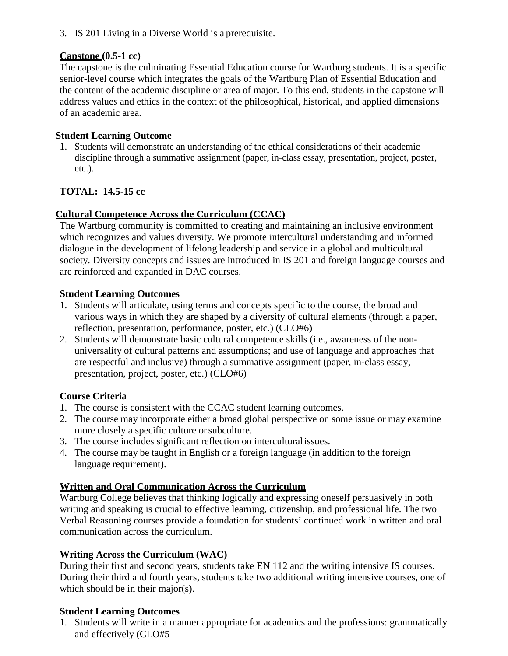3. IS 201 Living in a Diverse World is a prerequisite.

#### **Capstone (0.5-1 cc)**

The capstone is the culminating Essential Education course for Wartburg students. It is a specific senior-level course which integrates the goals of the Wartburg Plan of Essential Education and the content of the academic discipline or area of major. To this end, students in the capstone will address values and ethics in the context of the philosophical, historical, and applied dimensions of an academic area.

#### **Student Learning Outcome**

1. Students will demonstrate an understanding of the ethical considerations of their academic discipline through a summative assignment (paper, in-class essay, presentation, project, poster, etc.).

### **TOTAL: 14.5-15 cc**

### **Cultural Competence Across the Curriculum (CCAC)**

The Wartburg community is committed to creating and maintaining an inclusive environment which recognizes and values diversity. We promote intercultural understanding and informed dialogue in the development of lifelong leadership and service in a global and multicultural society. Diversity concepts and issues are introduced in IS 201 and foreign language courses and are reinforced and expanded in DAC courses.

#### **Student Learning Outcomes**

- 1. Students will articulate, using terms and concepts specific to the course, the broad and various ways in which they are shaped by a diversity of cultural elements (through a paper, reflection, presentation, performance, poster, etc.) (CLO#6)
- 2. Students will demonstrate basic cultural competence skills (i.e., awareness of the nonuniversality of cultural patterns and assumptions; and use of language and approaches that are respectful and inclusive) through a summative assignment (paper, in-class essay, presentation, project, poster, etc.) (CLO#6)

### **Course Criteria**

- 1. The course is consistent with the CCAC student learning outcomes.
- 2. The course may incorporate either a broad global perspective on some issue or may examine more closely a specific culture orsubculture.
- 3. The course includes significant reflection on interculturalissues.
- 4. The course may be taught in English or a foreign language (in addition to the foreign language requirement).

### **Written and Oral Communication Across the Curriculum**

Wartburg College believes that thinking logically and expressing oneself persuasively in both writing and speaking is crucial to effective learning, citizenship, and professional life. The two Verbal Reasoning courses provide a foundation for students' continued work in written and oral communication across the curriculum.

#### **Writing Across the Curriculum (WAC)**

During their first and second years, students take EN 112 and the writing intensive IS courses. During their third and fourth years, students take two additional writing intensive courses, one of which should be in their major(s).

#### **Student Learning Outcomes**

1. Students will write in a manner appropriate for academics and the professions: grammatically and effectively (CLO#5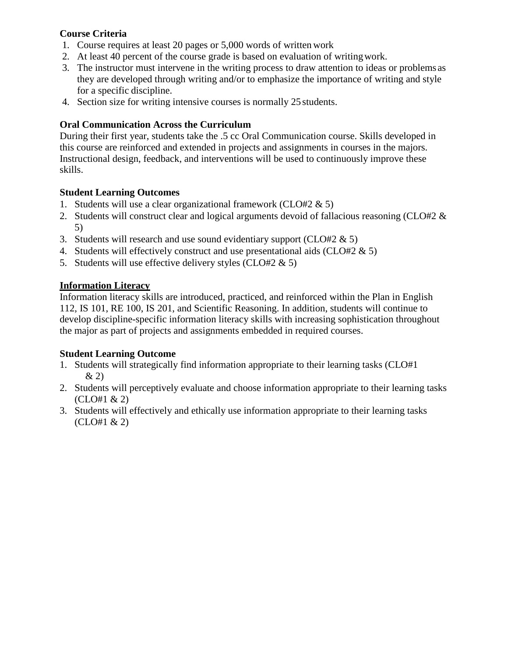### **Course Criteria**

- 1. Course requires at least 20 pages or 5,000 words of written work
- 2. At least 40 percent of the course grade is based on evaluation of writingwork.
- 3. The instructor must intervene in the writing process to draw attention to ideas or problems as they are developed through writing and/or to emphasize the importance of writing and style for a specific discipline.
- 4. Section size for writing intensive courses is normally 25 students.

# **Oral Communication Across the Curriculum**

During their first year, students take the .5 cc Oral Communication course. Skills developed in this course are reinforced and extended in projects and assignments in courses in the majors. Instructional design, feedback, and interventions will be used to continuously improve these skills.

### **Student Learning Outcomes**

- 1. Students will use a clear organizational framework (CLO#2 & 5)
- 2. Students will construct clear and logical arguments devoid of fallacious reasoning (CLO#2 & 5)
- 3. Students will research and use sound evidentiary support (CLO#2  $\&$  5)
- 4. Students will effectively construct and use presentational aids (CLO#2 & 5)
- 5. Students will use effective delivery styles (CLO#2 & 5)

### **Information Literacy**

Information literacy skills are introduced, practiced, and reinforced within the Plan in English 112, IS 101, RE 100, IS 201, and Scientific Reasoning. In addition, students will continue to develop discipline-specific information literacy skills with increasing sophistication throughout the major as part of projects and assignments embedded in required courses.

# **Student Learning Outcome**

- 1. Students will strategically find information appropriate to their learning tasks (CLO#1  $& 2)$
- 2. Students will perceptively evaluate and choose information appropriate to their learning tasks (CLO#1 & 2)
- 3. Students will effectively and ethically use information appropriate to their learning tasks  $(CLO#1 \& 2)$